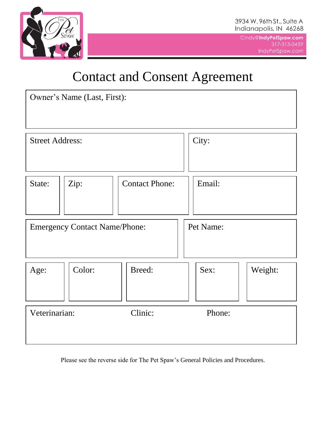

## Contact and Consent Agreement

| Owner's Name (Last, First):          |        |                       |           |         |
|--------------------------------------|--------|-----------------------|-----------|---------|
| <b>Street Address:</b>               |        |                       | City:     |         |
| State:                               | Zip:   | <b>Contact Phone:</b> | Email:    |         |
| <b>Emergency Contact Name/Phone:</b> |        |                       | Pet Name: |         |
| Age:                                 | Color: | Breed:                | Sex:      | Weight: |
| Veterinarian:                        |        | Clinic:               | Phone:    |         |

Please see the reverse side for The Pet Spaw's General Policies and Procedures.